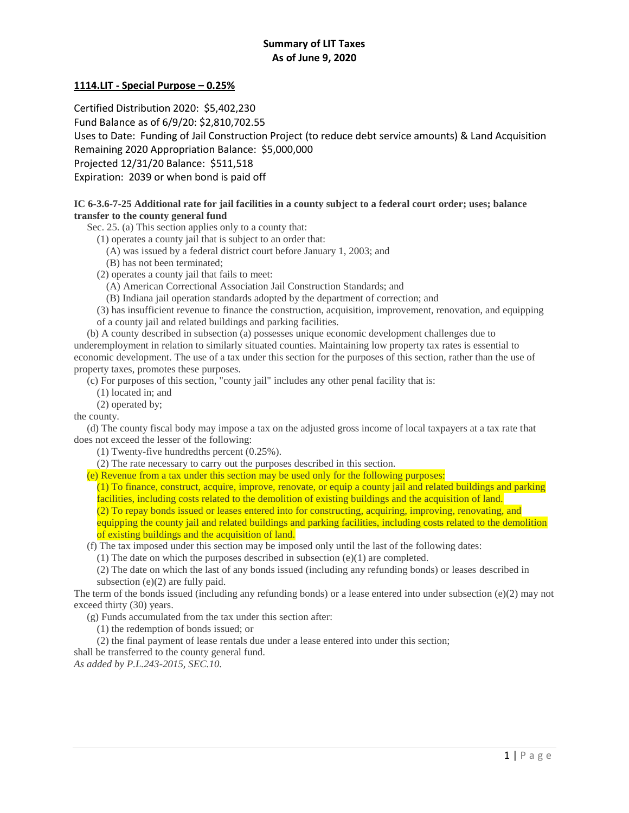# **Summary of LIT Taxes As of June 9, 2020**

# **1114.LIT - Special Purpose – 0.25%**

Certified Distribution 2020: \$5,402,230

Fund Balance as of 6/9/20: \$2,810,702.55

Uses to Date: Funding of Jail Construction Project (to reduce debt service amounts) & Land Acquisition

Remaining 2020 Appropriation Balance: \$5,000,000

Projected 12/31/20 Balance: \$511,518

Expiration: 2039 or when bond is paid off

# **IC 6-3.6-7-25 Additional rate for jail facilities in a county subject to a federal court order; uses; balance transfer to the county general fund**

Sec. 25. (a) This section applies only to a county that:

(1) operates a county jail that is subject to an order that:

(A) was issued by a federal district court before January 1, 2003; and

(B) has not been terminated;

(2) operates a county jail that fails to meet:

(A) American Correctional Association Jail Construction Standards; and

- (B) Indiana jail operation standards adopted by the department of correction; and
- (3) has insufficient revenue to finance the construction, acquisition, improvement, renovation, and equipping of a county jail and related buildings and parking facilities.

 (b) A county described in subsection (a) possesses unique economic development challenges due to underemployment in relation to similarly situated counties. Maintaining low property tax rates is essential to economic development. The use of a tax under this section for the purposes of this section, rather than the use of property taxes, promotes these purposes.

(c) For purposes of this section, "county jail" includes any other penal facility that is:

(1) located in; and

(2) operated by;

the county.

 (d) The county fiscal body may impose a tax on the adjusted gross income of local taxpayers at a tax rate that does not exceed the lesser of the following:

(1) Twenty-five hundredths percent (0.25%).

(2) The rate necessary to carry out the purposes described in this section.

(e) Revenue from a tax under this section may be used only for the following purposes:

(1) To finance, construct, acquire, improve, renovate, or equip a county jail and related buildings and parking facilities, including costs related to the demolition of existing buildings and the acquisition of land.

(2) To repay bonds issued or leases entered into for constructing, acquiring, improving, renovating, and

equipping the county jail and related buildings and parking facilities, including costs related to the demolition of existing buildings and the acquisition of land.

(f) The tax imposed under this section may be imposed only until the last of the following dates:

(1) The date on which the purposes described in subsection (e)(1) are completed.

(2) The date on which the last of any bonds issued (including any refunding bonds) or leases described in subsection (e)(2) are fully paid.

The term of the bonds issued (including any refunding bonds) or a lease entered into under subsection (e)(2) may not exceed thirty (30) years.

(g) Funds accumulated from the tax under this section after:

- (1) the redemption of bonds issued; or
- (2) the final payment of lease rentals due under a lease entered into under this section;

shall be transferred to the county general fund.

*As added by P.L.243-2015, SEC.10.*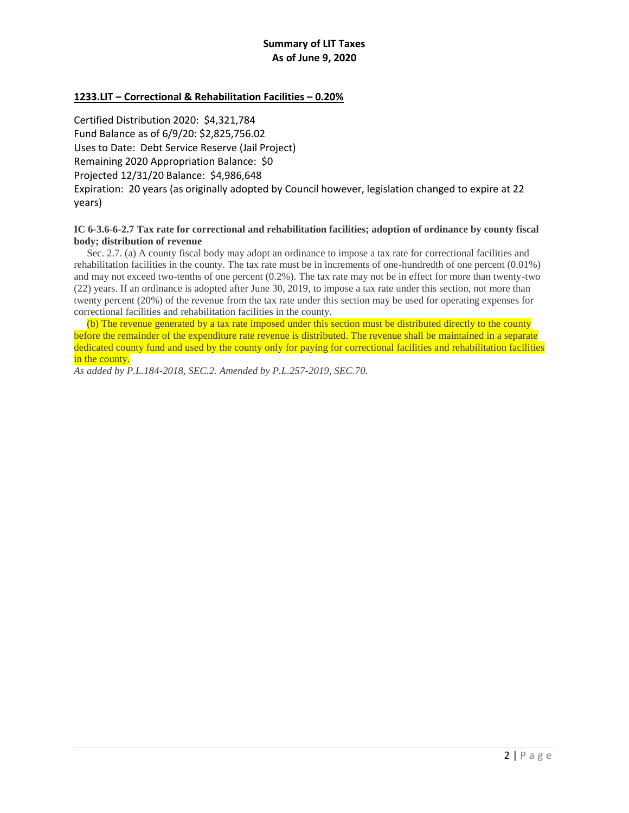# **1233.LIT – Correctional & Rehabilitation Facilities – 0.20%**

Certified Distribution 2020: \$4,321,784 Fund Balance as of 6/9/20: \$2,825,756.02 Uses to Date: Debt Service Reserve (Jail Project) Remaining 2020 Appropriation Balance: \$0 Projected 12/31/20 Balance: \$4,986,648 Expiration: 20 years (as originally adopted by Council however, legislation changed to expire at 22 years)

# **IC 6-3.6-6-2.7 Tax rate for correctional and rehabilitation facilities; adoption of ordinance by county fiscal body; distribution of revenue**

 Sec. 2.7. (a) A county fiscal body may adopt an ordinance to impose a tax rate for correctional facilities and rehabilitation facilities in the county. The tax rate must be in increments of one-hundredth of one percent (0.01%) and may not exceed two-tenths of one percent (0.2%). The tax rate may not be in effect for more than twenty-two (22) years. If an ordinance is adopted after June 30, 2019, to impose a tax rate under this section, not more than twenty percent (20%) of the revenue from the tax rate under this section may be used for operating expenses for correctional facilities and rehabilitation facilities in the county.

 (b) The revenue generated by a tax rate imposed under this section must be distributed directly to the county before the remainder of the expenditure rate revenue is distributed. The revenue shall be maintained in a separate dedicated county fund and used by the county only for paying for correctional facilities and rehabilitation facilities in the county.

*As added by P.L.184-2018, SEC.2. Amended by P.L.257-2019, SEC.70.*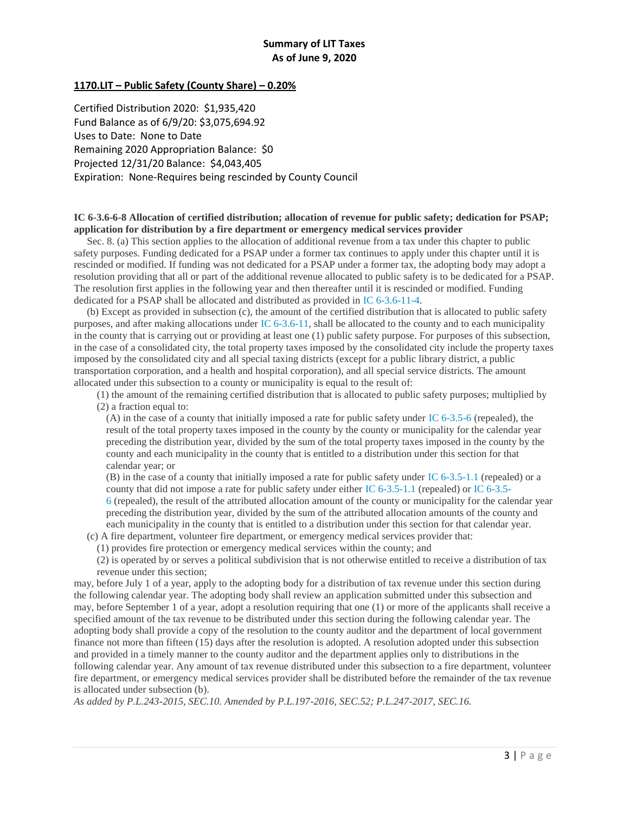# **1170.LIT – Public Safety (County Share) – 0.20%**

Certified Distribution 2020: \$1,935,420 Fund Balance as of 6/9/20: \$3,075,694.92 Uses to Date: None to Date Remaining 2020 Appropriation Balance: \$0 Projected 12/31/20 Balance: \$4,043,405 Expiration: None-Requires being rescinded by County Council

#### **IC 6-3.6-6-8 Allocation of certified distribution; allocation of revenue for public safety; dedication for PSAP; application for distribution by a fire department or emergency medical services provider**

 Sec. 8. (a) This section applies to the allocation of additional revenue from a tax under this chapter to public safety purposes. Funding dedicated for a PSAP under a former tax continues to apply under this chapter until it is rescinded or modified. If funding was not dedicated for a PSAP under a former tax, the adopting body may adopt a resolution providing that all or part of the additional revenue allocated to public safety is to be dedicated for a PSAP. The resolution first applies in the following year and then thereafter until it is rescinded or modified. Funding dedicated for a PSAP shall be allocated and distributed as provided in [IC 6-3.6-11-4.](http://iga.in.gov/legislative/laws/2019/ic/titles/006/#6-3.6-11-4)

 (b) Except as provided in subsection (c), the amount of the certified distribution that is allocated to public safety purposes, and after making allocations under [IC 6-3.6-11,](http://iga.in.gov/legislative/laws/2019/ic/titles/006/#6-3.6-11) shall be allocated to the county and to each municipality in the county that is carrying out or providing at least one (1) public safety purpose. For purposes of this subsection, in the case of a consolidated city, the total property taxes imposed by the consolidated city include the property taxes imposed by the consolidated city and all special taxing districts (except for a public library district, a public transportation corporation, and a health and hospital corporation), and all special service districts. The amount allocated under this subsection to a county or municipality is equal to the result of:

(1) the amount of the remaining certified distribution that is allocated to public safety purposes; multiplied by (2) a fraction equal to:

(A) in the case of a county that initially imposed a rate for public safety under [IC 6-3.5-6](http://iga.in.gov/legislative/laws/2019/ic/titles/006/#6-3.5-6) (repealed), the result of the total property taxes imposed in the county by the county or municipality for the calendar year preceding the distribution year, divided by the sum of the total property taxes imposed in the county by the county and each municipality in the county that is entitled to a distribution under this section for that calendar year; or

(B) in the case of a county that initially imposed a rate for public safety under [IC 6-3.5-1.1](http://iga.in.gov/legislative/laws/2019/ic/titles/006/#6-3.5-1.1) (repealed) or a county that did not impose a rate for public safety under either [IC 6-3.5-1.1](http://iga.in.gov/legislative/laws/2019/ic/titles/006/#6-3.5-1.1) (repealed) or [IC 6-3.5-](http://iga.in.gov/legislative/laws/2019/ic/titles/006/#6-3.5-6) [6](http://iga.in.gov/legislative/laws/2019/ic/titles/006/#6-3.5-6) (repealed), the result of the attributed allocation amount of the county or municipality for the calendar year preceding the distribution year, divided by the sum of the attributed allocation amounts of the county and each municipality in the county that is entitled to a distribution under this section for that calendar year.

(c) A fire department, volunteer fire department, or emergency medical services provider that:

(1) provides fire protection or emergency medical services within the county; and

(2) is operated by or serves a political subdivision that is not otherwise entitled to receive a distribution of tax revenue under this section;

may, before July 1 of a year, apply to the adopting body for a distribution of tax revenue under this section during the following calendar year. The adopting body shall review an application submitted under this subsection and may, before September 1 of a year, adopt a resolution requiring that one (1) or more of the applicants shall receive a specified amount of the tax revenue to be distributed under this section during the following calendar year. The adopting body shall provide a copy of the resolution to the county auditor and the department of local government finance not more than fifteen (15) days after the resolution is adopted. A resolution adopted under this subsection and provided in a timely manner to the county auditor and the department applies only to distributions in the following calendar year. Any amount of tax revenue distributed under this subsection to a fire department, volunteer fire department, or emergency medical services provider shall be distributed before the remainder of the tax revenue is allocated under subsection (b).

*As added by P.L.243-2015, SEC.10. Amended by P.L.197-2016, SEC.52; P.L.247-2017, SEC.16.*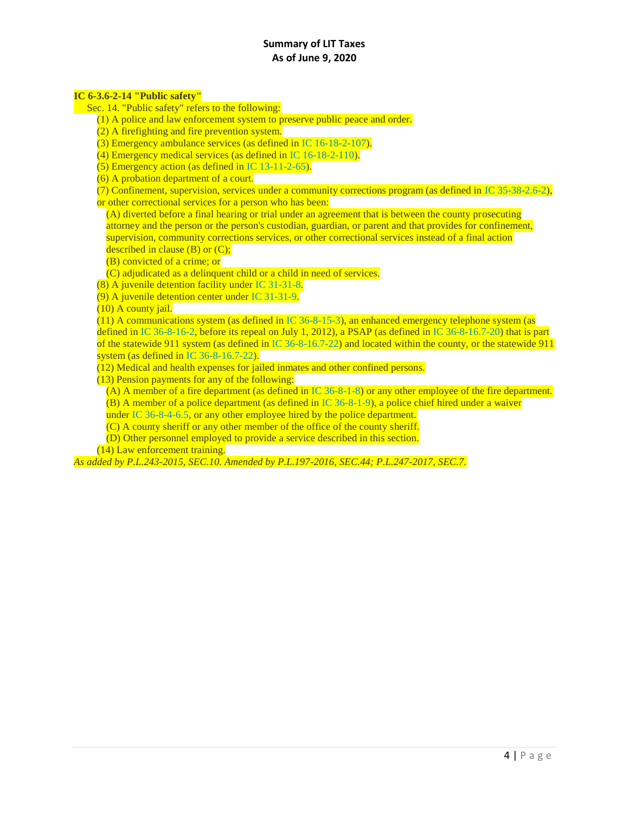# **Summary of LIT Taxes As of June 9, 2020**

#### **IC 6-3.6-2-14 "Public safety"**

Sec. 14. "Public safety" refers to the following:

- (1) A police and law enforcement system to preserve public peace and order.
- (2) A firefighting and fire prevention system.
- (3) Emergency ambulance services (as defined in [IC 16-18-2-107\)](http://iga.in.gov/legislative/laws/2019/ic/titles/006/#16-18-2-107).
- (4) Emergency medical services (as defined in [IC 16-18-2-110\)](http://iga.in.gov/legislative/laws/2019/ic/titles/006/#16-18-2-110).
- (5) Emergency action (as defined in [IC 13-11-2-65\)](http://iga.in.gov/legislative/laws/2019/ic/titles/006/#13-11-2-65).
- (6) A probation department of a court.

(7) Confinement, supervision, services under a community corrections program (as defined in [IC 35-38-2.6-2\)](http://iga.in.gov/legislative/laws/2019/ic/titles/006/#35-38-2.6-2),

or other correctional services for a person who has been:

(A) diverted before a final hearing or trial under an agreement that is between the county prosecuting attorney and the person or the person's custodian, guardian, or parent and that provides for confinement, supervision, community corrections services, or other correctional services instead of a final action described in clause  $(B)$  or  $(C)$ ;

(B) convicted of a crime; or

(C) adjudicated as a delinquent child or a child in need of services.

(8) A juvenile detention facility under [IC 31-31-8.](http://iga.in.gov/legislative/laws/2019/ic/titles/006/#31-31-8)

(9) A juvenile detention center under [IC 31-31-9.](http://iga.in.gov/legislative/laws/2019/ic/titles/006/#31-31-9)

(10) A county jail.

 $(11)$  A communications system (as defined in [IC 36-8-15-3\)](http://iga.in.gov/legislative/laws/2019/ic/titles/006/#36-8-15-3), an enhanced emergency telephone system (as defined in [IC 36-8-16-2,](http://iga.in.gov/legislative/laws/2019/ic/titles/006/#36-8-16-2) before its repeal on July 1, 2012), a PSAP (as defined in [IC 36-8-16.7-20\)](http://iga.in.gov/legislative/laws/2019/ic/titles/006/#36-8-16.7-20) that is part of the statewide 911 system (as defined in [IC 36-8-16.7-22\)](http://iga.in.gov/legislative/laws/2019/ic/titles/006/#36-8-16.7-22) and located within the county, or the statewide 911 system (as defined in [IC 36-8-16.7-22\)](http://iga.in.gov/legislative/laws/2019/ic/titles/006/#36-8-16.7-22).

(12) Medical and health expenses for jailed inmates and other confined persons.

(13) Pension payments for any of the following:

(A) A member of a fire department (as defined in [IC 36-8-1-8\)](http://iga.in.gov/legislative/laws/2019/ic/titles/006/#36-8-1-8) or any other employee of the fire department. (B) A member of a police department (as defined in [IC 36-8-1-9\)](http://iga.in.gov/legislative/laws/2019/ic/titles/006/#36-8-1-9), a police chief hired under a waiver

under [IC 36-8-4-6.5,](http://iga.in.gov/legislative/laws/2019/ic/titles/006/#36-8-4-6.5) or any other employee hired by the police department.

(C) A county sheriff or any other member of the office of the county sheriff.

(D) Other personnel employed to provide a service described in this section.

(14) Law enforcement training.

*As added by P.L.243-2015, SEC.10. Amended by P.L.197-2016, SEC.44; P.L.247-2017, SEC.7.*